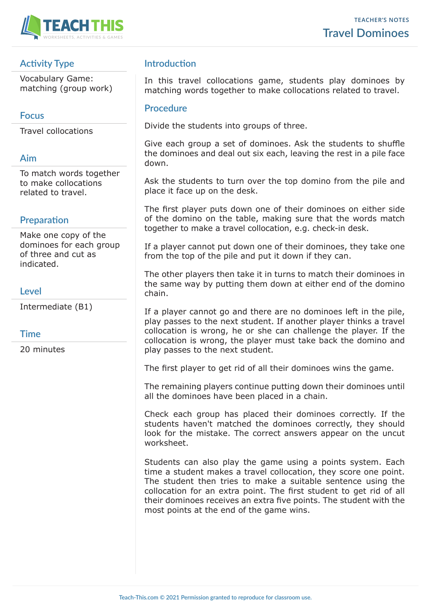

# **Activity Type**

Vocabulary Game: matching (group work)

## **Focus**

Travel collocations

### **Aim**

To match words together to make collocations related to travel.

### **Preparation**

Make one copy of the dominoes for each group of three and cut as indicated.

### **Level**

Intermediate (B1)

### **Time**

20 minutes

## **Introduction**

In this travel collocations game, students play dominoes by matching words together to make collocations related to travel.

#### **Procedure**

Divide the students into groups of three.

Give each group a set of dominoes. Ask the students to shuffle the dominoes and deal out six each, leaving the rest in a pile face down.

Ask the students to turn over the top domino from the pile and place it face up on the desk.

The first player puts down one of their dominoes on either side of the domino on the table, making sure that the words match together to make a travel collocation, e.g. check-in desk.

If a player cannot put down one of their dominoes, they take one from the top of the pile and put it down if they can.

The other players then take it in turns to match their dominoes in the same way by putting them down at either end of the domino chain.

If a player cannot go and there are no dominoes left in the pile, play passes to the next student. If another player thinks a travel collocation is wrong, he or she can challenge the player. If the collocation is wrong, the player must take back the domino and play passes to the next student.

The first player to get rid of all their dominoes wins the game.

The remaining players continue putting down their dominoes until all the dominoes have been placed in a chain.

Check each group has placed their dominoes correctly. If the students haven't matched the dominoes correctly, they should look for the mistake. The correct answers appear on the uncut worksheet.

Students can also play the game using a points system. Each time a student makes a travel collocation, they score one point. The student then tries to make a suitable sentence using the collocation for an extra point. The first student to get rid of all their dominoes receives an extra five points. The student with the most points at the end of the game wins.